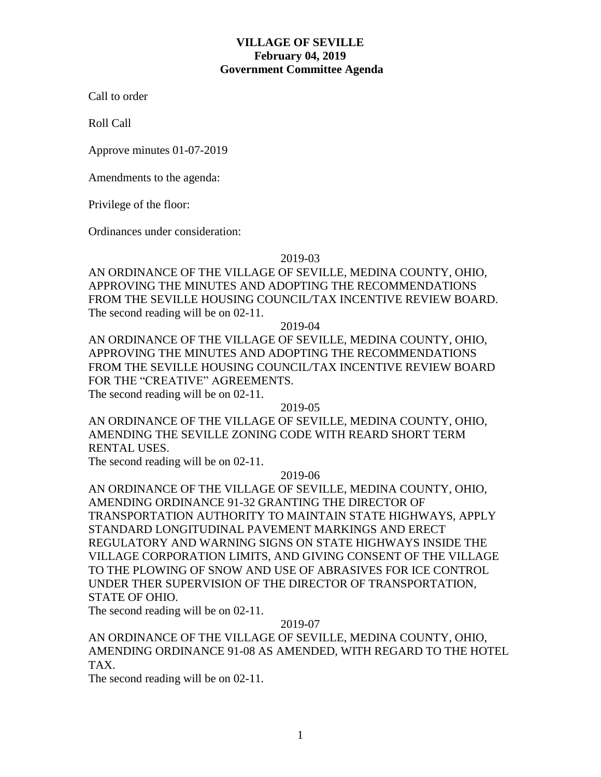# **VILLAGE OF SEVILLE February 04, 2019 Government Committee Agenda**

Call to order

Roll Call

Approve minutes 01-07-2019

Amendments to the agenda:

Privilege of the floor:

Ordinances under consideration:

2019-03

AN ORDINANCE OF THE VILLAGE OF SEVILLE, MEDINA COUNTY, OHIO, APPROVING THE MINUTES AND ADOPTING THE RECOMMENDATIONS FROM THE SEVILLE HOUSING COUNCIL/TAX INCENTIVE REVIEW BOARD. The second reading will be on 02-11.

2019-04

AN ORDINANCE OF THE VILLAGE OF SEVILLE, MEDINA COUNTY, OHIO, APPROVING THE MINUTES AND ADOPTING THE RECOMMENDATIONS FROM THE SEVILLE HOUSING COUNCIL/TAX INCENTIVE REVIEW BOARD FOR THE "CREATIVE" AGREEMENTS.

The second reading will be on 02-11.

2019-05

AN ORDINANCE OF THE VILLAGE OF SEVILLE, MEDINA COUNTY, OHIO, AMENDING THE SEVILLE ZONING CODE WITH REARD SHORT TERM RENTAL USES.

The second reading will be on 02-11.

2019-06

AN ORDINANCE OF THE VILLAGE OF SEVILLE, MEDINA COUNTY, OHIO, AMENDING ORDINANCE 91-32 GRANTING THE DIRECTOR OF TRANSPORTATION AUTHORITY TO MAINTAIN STATE HIGHWAYS, APPLY STANDARD LONGITUDINAL PAVEMENT MARKINGS AND ERECT REGULATORY AND WARNING SIGNS ON STATE HIGHWAYS INSIDE THE VILLAGE CORPORATION LIMITS, AND GIVING CONSENT OF THE VILLAGE TO THE PLOWING OF SNOW AND USE OF ABRASIVES FOR ICE CONTROL UNDER THER SUPERVISION OF THE DIRECTOR OF TRANSPORTATION, STATE OF OHIO.

The second reading will be on 02-11.

2019-07

AN ORDINANCE OF THE VILLAGE OF SEVILLE, MEDINA COUNTY, OHIO, AMENDING ORDINANCE 91-08 AS AMENDED, WITH REGARD TO THE HOTEL TAX.

The second reading will be on 02-11.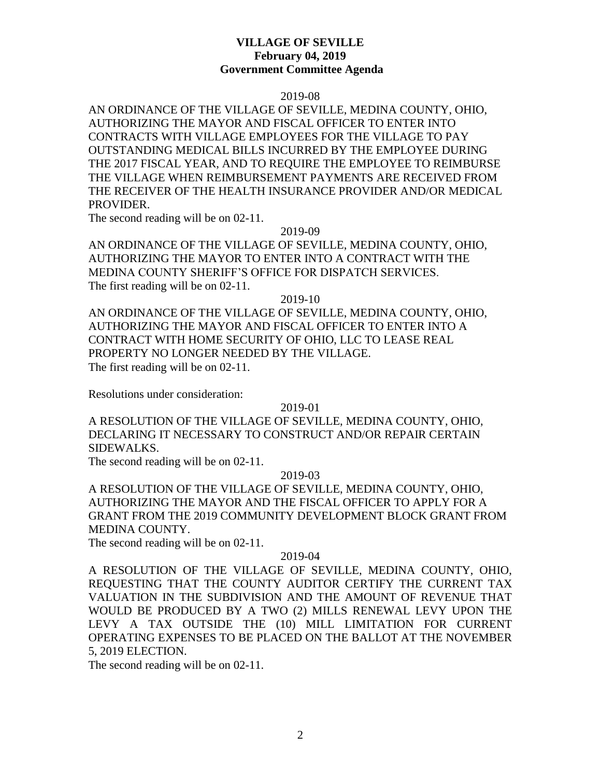## **VILLAGE OF SEVILLE February 04, 2019 Government Committee Agenda**

#### 2019-08

AN ORDINANCE OF THE VILLAGE OF SEVILLE, MEDINA COUNTY, OHIO, AUTHORIZING THE MAYOR AND FISCAL OFFICER TO ENTER INTO CONTRACTS WITH VILLAGE EMPLOYEES FOR THE VILLAGE TO PAY OUTSTANDING MEDICAL BILLS INCURRED BY THE EMPLOYEE DURING THE 2017 FISCAL YEAR, AND TO REQUIRE THE EMPLOYEE TO REIMBURSE THE VILLAGE WHEN REIMBURSEMENT PAYMENTS ARE RECEIVED FROM THE RECEIVER OF THE HEALTH INSURANCE PROVIDER AND/OR MEDICAL PROVIDER.

The second reading will be on 02-11.

### 2019-09

AN ORDINANCE OF THE VILLAGE OF SEVILLE, MEDINA COUNTY, OHIO, AUTHORIZING THE MAYOR TO ENTER INTO A CONTRACT WITH THE MEDINA COUNTY SHERIFF'S OFFICE FOR DISPATCH SERVICES. The first reading will be on 02-11.

#### 2019-10

AN ORDINANCE OF THE VILLAGE OF SEVILLE, MEDINA COUNTY, OHIO, AUTHORIZING THE MAYOR AND FISCAL OFFICER TO ENTER INTO A CONTRACT WITH HOME SECURITY OF OHIO, LLC TO LEASE REAL PROPERTY NO LONGER NEEDED BY THE VILLAGE. The first reading will be on 02-11.

Resolutions under consideration:

#### 2019-01

A RESOLUTION OF THE VILLAGE OF SEVILLE, MEDINA COUNTY, OHIO, DECLARING IT NECESSARY TO CONSTRUCT AND/OR REPAIR CERTAIN SIDEWALKS.

The second reading will be on 02-11.

## 2019-03

A RESOLUTION OF THE VILLAGE OF SEVILLE, MEDINA COUNTY, OHIO, AUTHORIZING THE MAYOR AND THE FISCAL OFFICER TO APPLY FOR A GRANT FROM THE 2019 COMMUNITY DEVELOPMENT BLOCK GRANT FROM MEDINA COUNTY.

The second reading will be on 02-11.

## 2019-04

A RESOLUTION OF THE VILLAGE OF SEVILLE, MEDINA COUNTY, OHIO, REQUESTING THAT THE COUNTY AUDITOR CERTIFY THE CURRENT TAX VALUATION IN THE SUBDIVISION AND THE AMOUNT OF REVENUE THAT WOULD BE PRODUCED BY A TWO (2) MILLS RENEWAL LEVY UPON THE LEVY A TAX OUTSIDE THE (10) MILL LIMITATION FOR CURRENT OPERATING EXPENSES TO BE PLACED ON THE BALLOT AT THE NOVEMBER 5, 2019 ELECTION.

The second reading will be on 02-11.